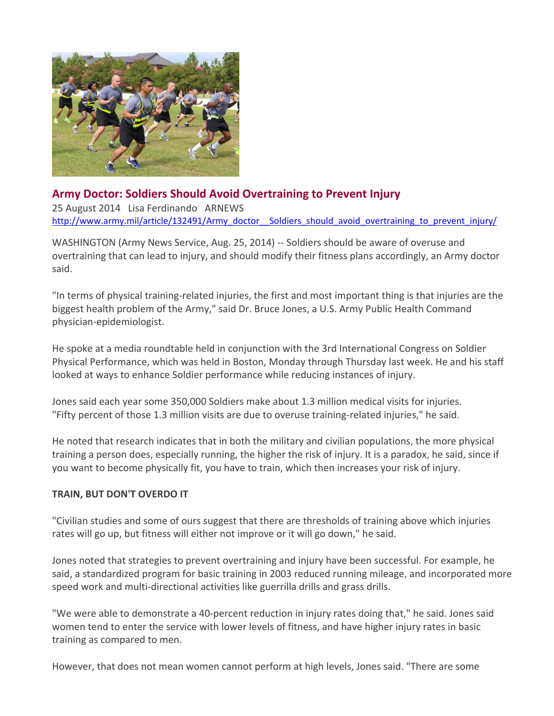

## **Army Doctor: Soldiers Should Avoid Overtraining to Prevent Injury**

25 August 2014 Lisa Ferdinando ARNEWS [http://www.army.mil/article/132491/Army\\_doctor\\_\\_Soldiers\\_should\\_avoid\\_overtraining\\_to\\_prevent\\_injury/](http://www.army.mil/article/132491/Army_doctor__Soldiers_should_avoid_overtraining_to_prevent_injury/)

WASHINGTON (Army News Service, Aug. 25, 2014) -- Soldiers should be aware of overuse and overtraining that can lead to injury, and should modify their fitness plans accordingly, an Army doctor said.

"In terms of physical training-related injuries, the first and most important thing is that injuries are the biggest health problem of the Army," said Dr. Bruce Jones, a U.S. Army Public Health Command physician-epidemiologist.

He spoke at a media roundtable held in conjunction with the 3rd International Congress on Soldier Physical Performance, which was held in Boston, Monday through Thursday last week. He and his staff looked at ways to enhance Soldier performance while reducing instances of injury.

Jones said each year some 350,000 Soldiers make about 1.3 million medical visits for injuries. "Fifty percent of those 1.3 million visits are due to overuse training-related injuries," he said.

He noted that research indicates that in both the military and civilian populations, the more physical training a person does, especially running, the higher the risk of injury. It is a paradox, he said, since if you want to become physically fit, you have to train, which then increases your risk of injury.

## **TRAIN, BUT DON'T OVERDO IT**

"Civilian studies and some of ours suggest that there are thresholds of training above which injuries rates will go up, but fitness will either not improve or it will go down," he said.

Jones noted that strategies to prevent overtraining and injury have been successful. For example, he said, a standardized program for basic training in 2003 reduced running mileage, and incorporated more speed work and multi-directional activities like guerrilla drills and grass drills.

"We were able to demonstrate a 40-percent reduction in injury rates doing that," he said. Jones said women tend to enter the service with lower levels of fitness, and have higher injury rates in basic training as compared to men.

However, that does not mean women cannot perform at high levels, Jones said. "There are some